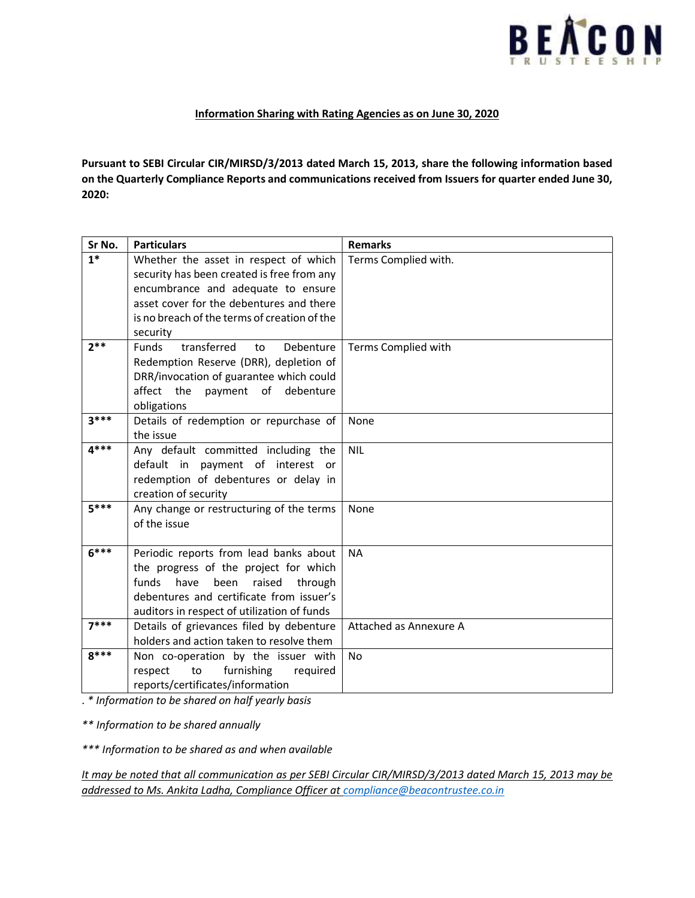

## Information Sharing with Rating Agencies as on June 30, 2020

Pursuant to SEBI Circular CIR/MIRSD/3/2013 dated March 15, 2013, share the following information based on the Quarterly Compliance Reports and communications received from Issuers for quarter ended June 30, 2020:

| Sr No. | <b>Particulars</b>                                                                                                                                                                                                       | <b>Remarks</b>         |
|--------|--------------------------------------------------------------------------------------------------------------------------------------------------------------------------------------------------------------------------|------------------------|
| $1*$   | Whether the asset in respect of which<br>security has been created is free from any<br>encumbrance and adequate to ensure<br>asset cover for the debentures and there<br>is no breach of the terms of creation of the    | Terms Complied with.   |
|        | security                                                                                                                                                                                                                 |                        |
| $2**$  | transferred<br><b>Funds</b><br>Debenture<br>to<br>Redemption Reserve (DRR), depletion of<br>DRR/invocation of guarantee which could<br>affect the<br>payment of debenture<br>obligations                                 | Terms Complied with    |
| $3***$ | Details of redemption or repurchase of<br>the issue                                                                                                                                                                      | None                   |
| $4***$ | Any default committed including the<br>default in payment of interest or<br>redemption of debentures or delay in<br>creation of security                                                                                 | <b>NIL</b>             |
| $5***$ | Any change or restructuring of the terms<br>of the issue                                                                                                                                                                 | None                   |
| $6***$ | Periodic reports from lead banks about<br>the progress of the project for which<br>funds<br>have<br>raised<br>through<br>been<br>debentures and certificate from issuer's<br>auditors in respect of utilization of funds | <b>NA</b>              |
| $7***$ | Details of grievances filed by debenture<br>holders and action taken to resolve them                                                                                                                                     | Attached as Annexure A |
| $8***$ | Non co-operation by the issuer with<br>to<br>furnishing<br>respect<br>required<br>reports/certificates/information                                                                                                       | <b>No</b>              |

. \* Information to be shared on half yearly basis

\*\* Information to be shared annually

\*\*\* Information to be shared as and when available

It may be noted that all communication as per SEBI Circular CIR/MIRSD/3/2013 dated March 15, 2013 may be addressed to Ms. Ankita Ladha, Compliance Officer at compliance@beacontrustee.co.in